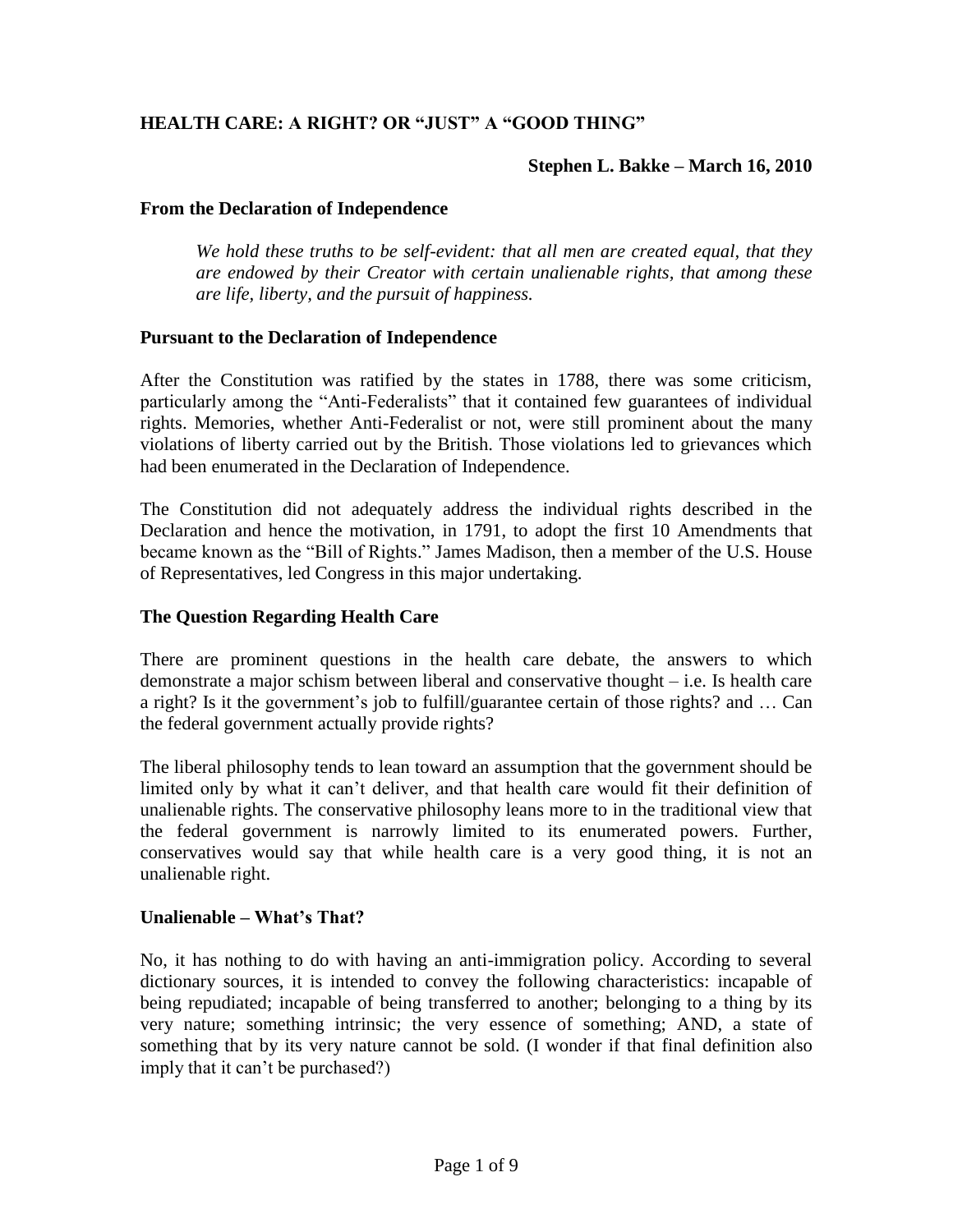# **HEALTH CARE: A RIGHT? OR "JUST" A "GOOD THING"**

#### **Stephen L. Bakke – March 16, 2010**

#### **From the Declaration of Independence**

*We hold these truths to be self-evident: that all men are created equal, that they are endowed by their Creator with certain unalienable rights, that among these are life, liberty, and the pursuit of happiness.*

#### **Pursuant to the Declaration of Independence**

After the Constitution was ratified by the states in 1788, there was some criticism, particularly among the "Anti-Federalists" that it contained few guarantees of individual rights. Memories, whether Anti-Federalist or not, were still prominent about the many violations of liberty carried out by the British. Those violations led to grievances which had been enumerated in the Declaration of Independence.

The Constitution did not adequately address the individual rights described in the Declaration and hence the motivation, in 1791, to adopt the first 10 Amendments that became known as the "Bill of Rights." James Madison, then a member of the U.S. House of Representatives, led Congress in this major undertaking.

#### **The Question Regarding Health Care**

There are prominent questions in the health care debate, the answers to which demonstrate a major schism between liberal and conservative thought – i.e. Is health care a right? Is it the government's job to fulfill/guarantee certain of those rights? and ... Can the federal government actually provide rights?

The liberal philosophy tends to lean toward an assumption that the government should be limited only by what it can't deliver, and that health care would fit their definition of unalienable rights. The conservative philosophy leans more to in the traditional view that the federal government is narrowly limited to its enumerated powers. Further, conservatives would say that while health care is a very good thing, it is not an unalienable right.

#### **Unalienable – What's That?**

No, it has nothing to do with having an anti-immigration policy. According to several dictionary sources, it is intended to convey the following characteristics: incapable of being repudiated; incapable of being transferred to another; belonging to a thing by its very nature; something intrinsic; the very essence of something; AND, a state of something that by its very nature cannot be sold. (I wonder if that final definition also imply that it can't be purchased?)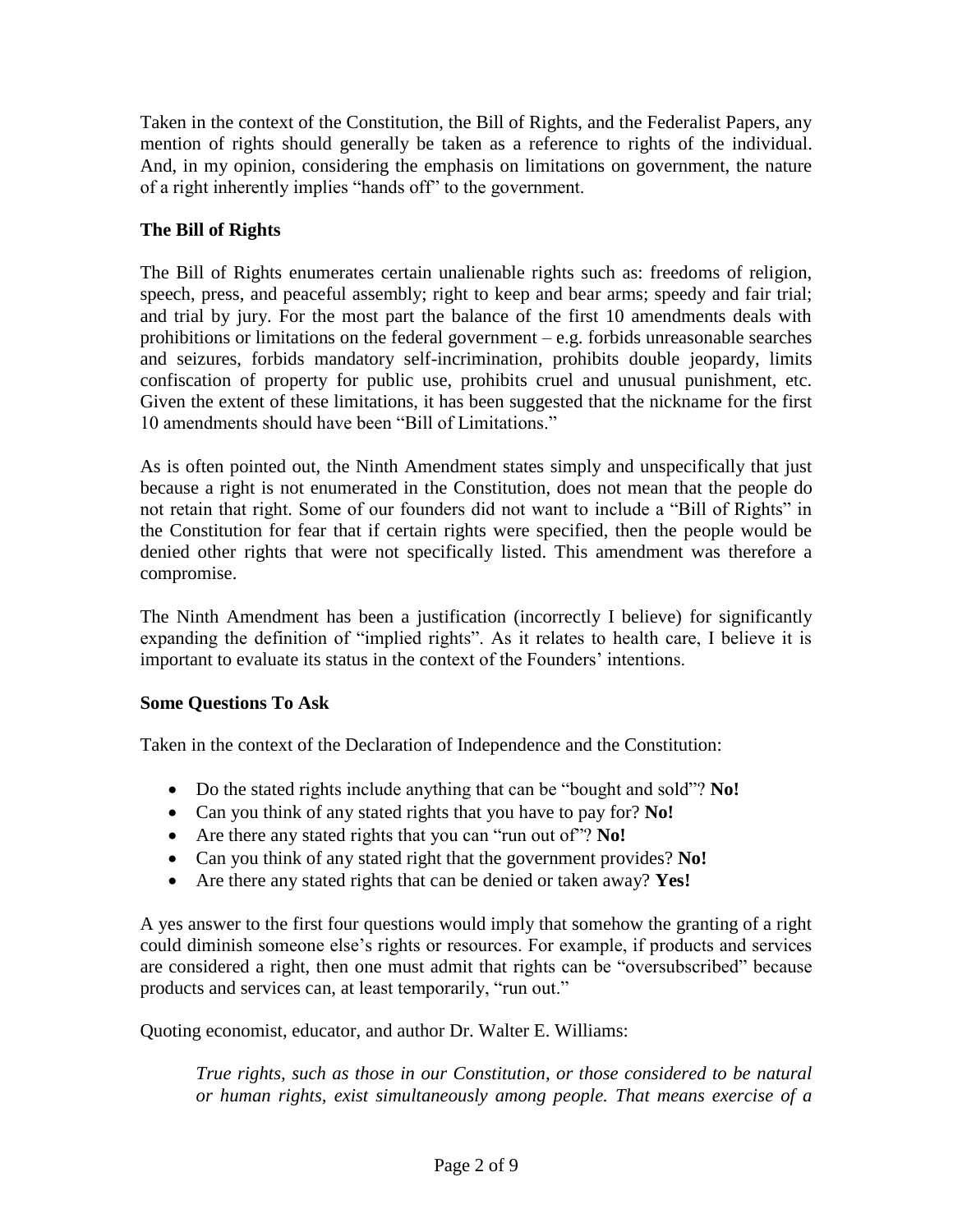Taken in the context of the Constitution, the Bill of Rights, and the Federalist Papers, any mention of rights should generally be taken as a reference to rights of the individual. And, in my opinion, considering the emphasis on limitations on government, the nature of a right inherently implies "hands off" to the government.

# **The Bill of Rights**

The Bill of Rights enumerates certain unalienable rights such as: freedoms of religion, speech, press, and peaceful assembly; right to keep and bear arms; speedy and fair trial; and trial by jury. For the most part the balance of the first 10 amendments deals with prohibitions or limitations on the federal government – e.g. forbids unreasonable searches and seizures, forbids mandatory self-incrimination, prohibits double jeopardy, limits confiscation of property for public use, prohibits cruel and unusual punishment, etc. Given the extent of these limitations, it has been suggested that the nickname for the first 10 amendments should have been "Bill of Limitations."

As is often pointed out, the Ninth Amendment states simply and unspecifically that just because a right is not enumerated in the Constitution, does not mean that the people do not retain that right. Some of our founders did not want to include a "Bill of Rights" in the Constitution for fear that if certain rights were specified, then the people would be denied other rights that were not specifically listed. This amendment was therefore a compromise.

The Ninth Amendment has been a justification (incorrectly I believe) for significantly expanding the definition of "implied rights". As it relates to health care, I believe it is important to evaluate its status in the context of the Founders' intentions.

# **Some Questions To Ask**

Taken in the context of the Declaration of Independence and the Constitution:

- Do the stated rights include anything that can be "bought and sold"? **No!**
- Can you think of any stated rights that you have to pay for? **No!**
- Are there any stated rights that you can "run out of"? **No!**
- Can you think of any stated right that the government provides? **No!**
- Are there any stated rights that can be denied or taken away? **Yes!**

A yes answer to the first four questions would imply that somehow the granting of a right could diminish someone else"s rights or resources. For example, if products and services are considered a right, then one must admit that rights can be "oversubscribed" because products and services can, at least temporarily, "run out."

Quoting economist, educator, and author Dr. Walter E. Williams:

*True rights, such as those in our Constitution, or those considered to be natural or human rights, exist simultaneously among people. That means exercise of a*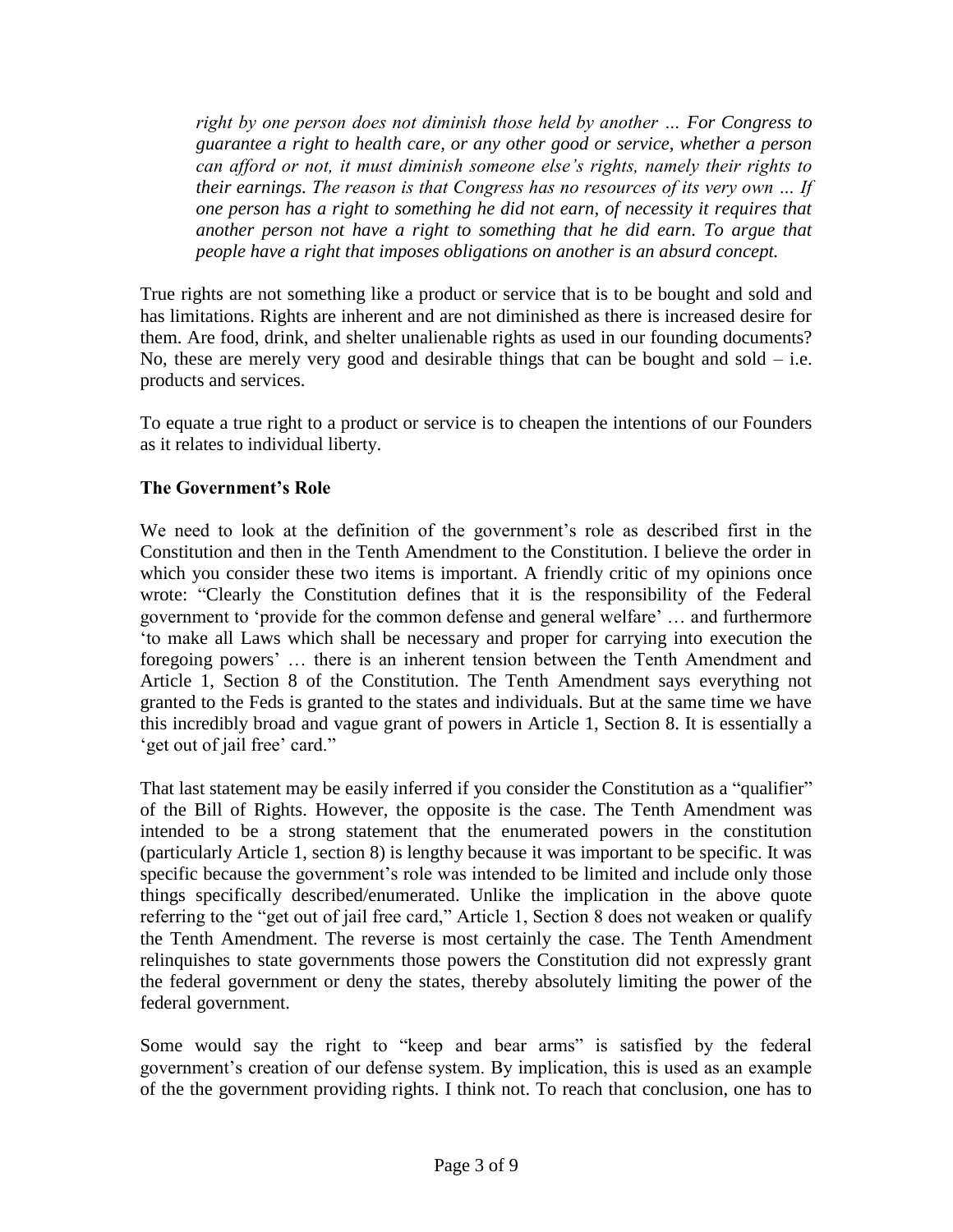*right by one person does not diminish those held by another … For Congress to guarantee a right to health care, or any other good or service, whether a person can afford or not, it must diminish someone else's rights, namely their rights to their earnings. The reason is that Congress has no resources of its very own … If one person has a right to something he did not earn, of necessity it requires that another person not have a right to something that he did earn. To argue that people have a right that imposes obligations on another is an absurd concept.*

True rights are not something like a product or service that is to be bought and sold and has limitations. Rights are inherent and are not diminished as there is increased desire for them. Are food, drink, and shelter unalienable rights as used in our founding documents? No, these are merely very good and desirable things that can be bought and sold  $-$  i.e. products and services.

To equate a true right to a product or service is to cheapen the intentions of our Founders as it relates to individual liberty.

## **The Government's Role**

We need to look at the definition of the government's role as described first in the Constitution and then in the Tenth Amendment to the Constitution. I believe the order in which you consider these two items is important. A friendly critic of my opinions once wrote: "Clearly the Constitution defines that it is the responsibility of the Federal government to "provide for the common defense and general welfare" … and furthermore "to make all Laws which shall be necessary and proper for carrying into execution the foregoing powers" … there is an inherent tension between the Tenth Amendment and Article 1, Section 8 of the Constitution. The Tenth Amendment says everything not granted to the Feds is granted to the states and individuals. But at the same time we have this incredibly broad and vague grant of powers in Article 1, Section 8. It is essentially a ' get out of jail free' card."

That last statement may be easily inferred if you consider the Constitution as a "qualifier" of the Bill of Rights. However, the opposite is the case. The Tenth Amendment was intended to be a strong statement that the enumerated powers in the constitution (particularly Article 1, section 8) is lengthy because it was important to be specific. It was specific because the government's role was intended to be limited and include only those things specifically described/enumerated. Unlike the implication in the above quote referring to the "get out of jail free card," Article 1, Section 8 does not weaken or qualify the Tenth Amendment. The reverse is most certainly the case. The Tenth Amendment relinquishes to state governments those powers the Constitution did not expressly grant the federal government or deny the states, thereby absolutely limiting the power of the federal government.

Some would say the right to "keep and bear arms" is satisfied by the federal government's creation of our defense system. By implication, this is used as an example of the the government providing rights. I think not. To reach that conclusion, one has to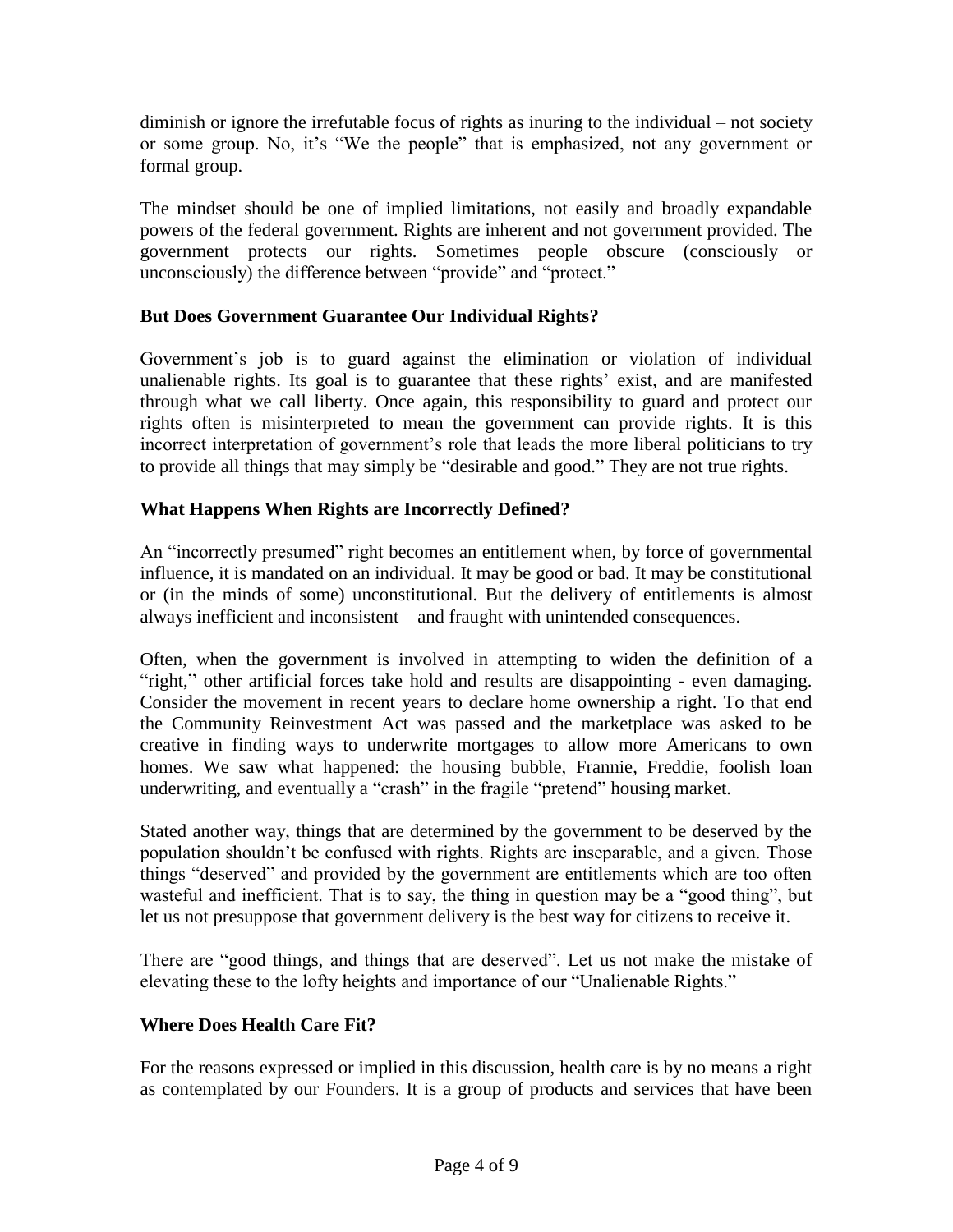diminish or ignore the irrefutable focus of rights as inuring to the individual – not society or some group. No, it's "We the people" that is emphasized, not any government or formal group.

The mindset should be one of implied limitations, not easily and broadly expandable powers of the federal government. Rights are inherent and not government provided. The government protects our rights. Sometimes people obscure (consciously or unconsciously) the difference between "provide" and "protect."

# **But Does Government Guarantee Our Individual Rights?**

Government's job is to guard against the elimination or violation of individual unalienable rights. Its goal is to guarantee that these rights' exist, and are manifested through what we call liberty. Once again, this responsibility to guard and protect our rights often is misinterpreted to mean the government can provide rights. It is this incorrect interpretation of government's role that leads the more liberal politicians to try to provide all things that may simply be "desirable and good." They are not true rights.

# **What Happens When Rights are Incorrectly Defined?**

An "incorrectly presumed" right becomes an entitlement when, by force of governmental influence, it is mandated on an individual. It may be good or bad. It may be constitutional or (in the minds of some) unconstitutional. But the delivery of entitlements is almost always inefficient and inconsistent – and fraught with unintended consequences.

Often, when the government is involved in attempting to widen the definition of a "right," other artificial forces take hold and results are disappointing - even damaging. Consider the movement in recent years to declare home ownership a right. To that end the Community Reinvestment Act was passed and the marketplace was asked to be creative in finding ways to underwrite mortgages to allow more Americans to own homes. We saw what happened: the housing bubble, Frannie, Freddie, foolish loan underwriting, and eventually a "crash" in the fragile "pretend" housing market.

Stated another way, things that are determined by the government to be deserved by the population shouldn"t be confused with rights. Rights are inseparable, and a given. Those things "deserved" and provided by the government are entitlements which are too often wasteful and inefficient. That is to say, the thing in question may be a "good thing", but let us not presuppose that government delivery is the best way for citizens to receive it.

There are "good things, and things that are deserved". Let us not make the mistake of elevating these to the lofty heights and importance of our "Unalienable Rights."

## **Where Does Health Care Fit?**

For the reasons expressed or implied in this discussion, health care is by no means a right as contemplated by our Founders. It is a group of products and services that have been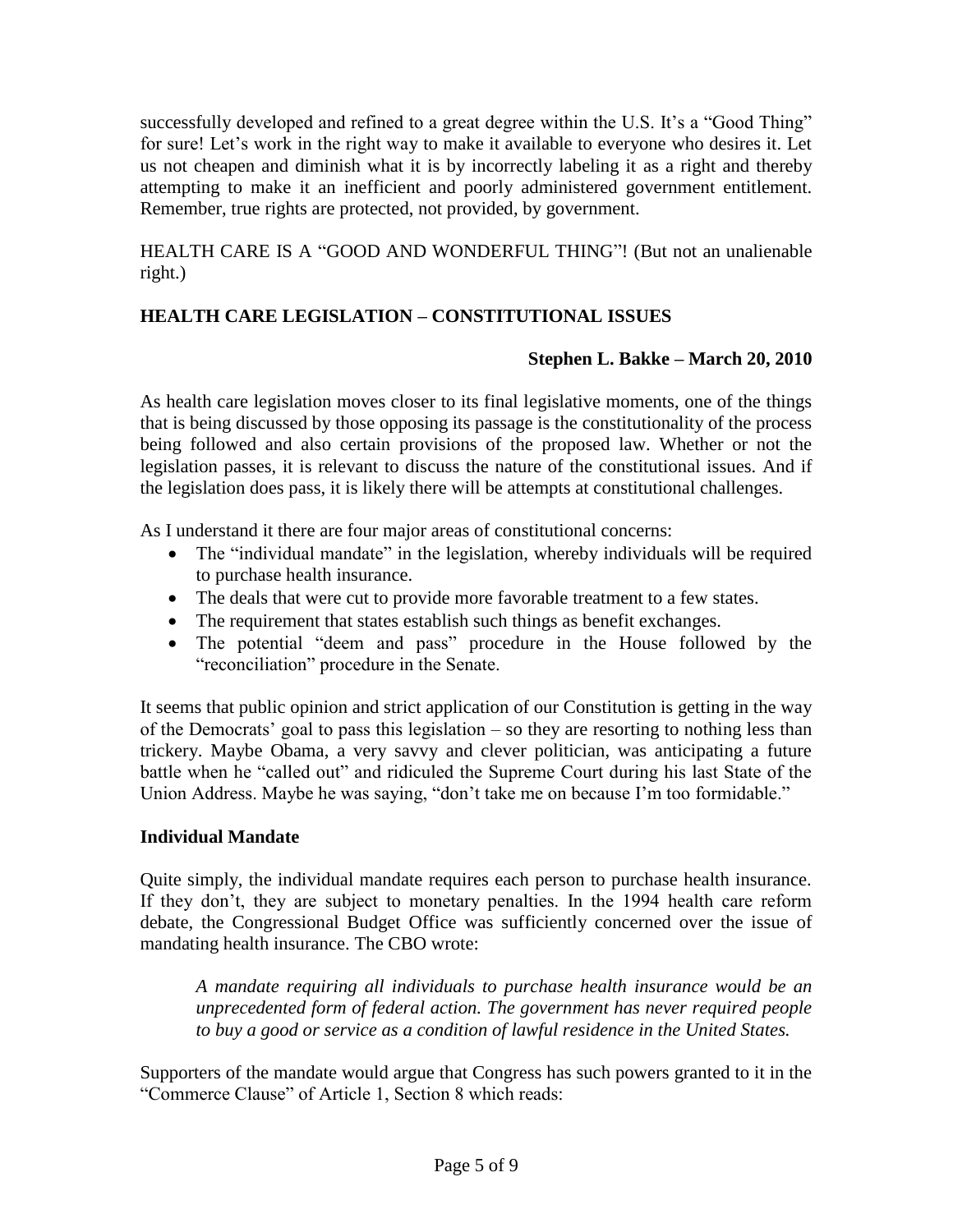successfully developed and refined to a great degree within the U.S. It's a "Good Thing" for sure! Let"s work in the right way to make it available to everyone who desires it. Let us not cheapen and diminish what it is by incorrectly labeling it as a right and thereby attempting to make it an inefficient and poorly administered government entitlement. Remember, true rights are protected, not provided, by government.

HEALTH CARE IS A "GOOD AND WONDERFUL THING"! (But not an unalienable right.)

# **HEALTH CARE LEGISLATION – CONSTITUTIONAL ISSUES**

## **Stephen L. Bakke – March 20, 2010**

As health care legislation moves closer to its final legislative moments, one of the things that is being discussed by those opposing its passage is the constitutionality of the process being followed and also certain provisions of the proposed law. Whether or not the legislation passes, it is relevant to discuss the nature of the constitutional issues. And if the legislation does pass, it is likely there will be attempts at constitutional challenges.

As I understand it there are four major areas of constitutional concerns:

- The "individual mandate" in the legislation, whereby individuals will be required to purchase health insurance.
- The deals that were cut to provide more favorable treatment to a few states.
- The requirement that states establish such things as benefit exchanges.
- The potential "deem and pass" procedure in the House followed by the "reconciliation" procedure in the Senate.

It seems that public opinion and strict application of our Constitution is getting in the way of the Democrats' goal to pass this legislation  $-$  so they are resorting to nothing less than trickery. Maybe Obama, a very savvy and clever politician, was anticipating a future battle when he "called out" and ridiculed the Supreme Court during his last State of the Union Address. Maybe he was saying, "don"t take me on because I"m too formidable."

## **Individual Mandate**

Quite simply, the individual mandate requires each person to purchase health insurance. If they don"t, they are subject to monetary penalties. In the 1994 health care reform debate, the Congressional Budget Office was sufficiently concerned over the issue of mandating health insurance. The CBO wrote:

*A mandate requiring all individuals to purchase health insurance would be an unprecedented form of federal action. The government has never required people to buy a good or service as a condition of lawful residence in the United States.*

Supporters of the mandate would argue that Congress has such powers granted to it in the "Commerce Clause" of Article 1, Section 8 which reads: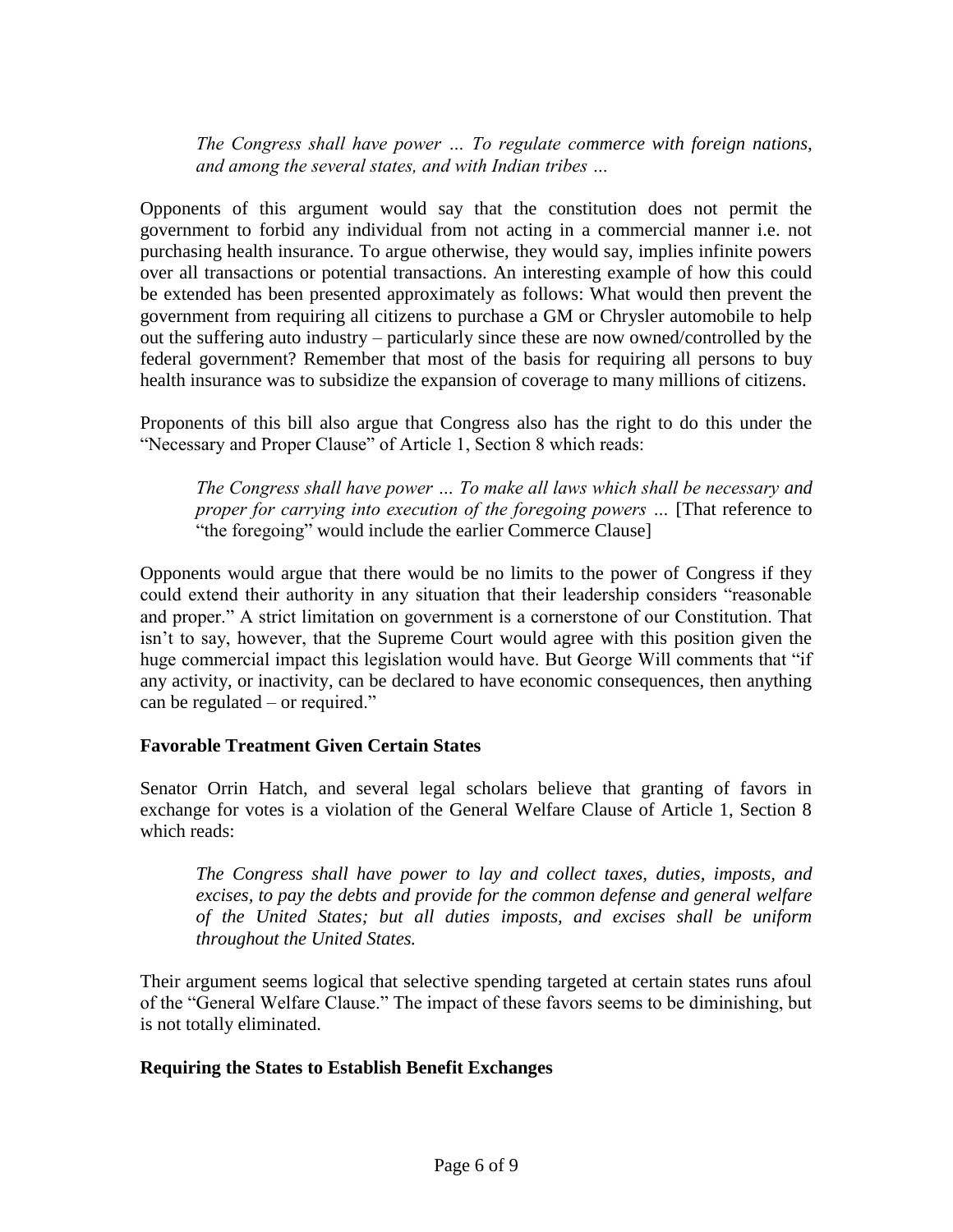*The Congress shall have power … To regulate commerce with foreign nations, and among the several states, and with Indian tribes …*

Opponents of this argument would say that the constitution does not permit the government to forbid any individual from not acting in a commercial manner i.e. not purchasing health insurance. To argue otherwise, they would say, implies infinite powers over all transactions or potential transactions. An interesting example of how this could be extended has been presented approximately as follows: What would then prevent the government from requiring all citizens to purchase a GM or Chrysler automobile to help out the suffering auto industry – particularly since these are now owned/controlled by the federal government? Remember that most of the basis for requiring all persons to buy health insurance was to subsidize the expansion of coverage to many millions of citizens.

Proponents of this bill also argue that Congress also has the right to do this under the "Necessary and Proper Clause" of Article 1, Section 8 which reads:

*The Congress shall have power … To make all laws which shall be necessary and proper for carrying into execution of the foregoing powers ...* [That reference to "the foregoing" would include the earlier Commerce Clause]

Opponents would argue that there would be no limits to the power of Congress if they could extend their authority in any situation that their leadership considers "reasonable and proper." A strict limitation on government is a cornerstone of our Constitution. That isn"t to say, however, that the Supreme Court would agree with this position given the huge commercial impact this legislation would have. But George Will comments that "if any activity, or inactivity, can be declared to have economic consequences, then anything can be regulated – or required."

## **Favorable Treatment Given Certain States**

Senator Orrin Hatch, and several legal scholars believe that granting of favors in exchange for votes is a violation of the General Welfare Clause of Article 1, Section 8 which reads:

*The Congress shall have power to lay and collect taxes, duties, imposts, and excises, to pay the debts and provide for the common defense and general welfare of the United States; but all duties imposts, and excises shall be uniform throughout the United States.*

Their argument seems logical that selective spending targeted at certain states runs afoul of the "General Welfare Clause." The impact of these favors seems to be diminishing, but is not totally eliminated.

## **Requiring the States to Establish Benefit Exchanges**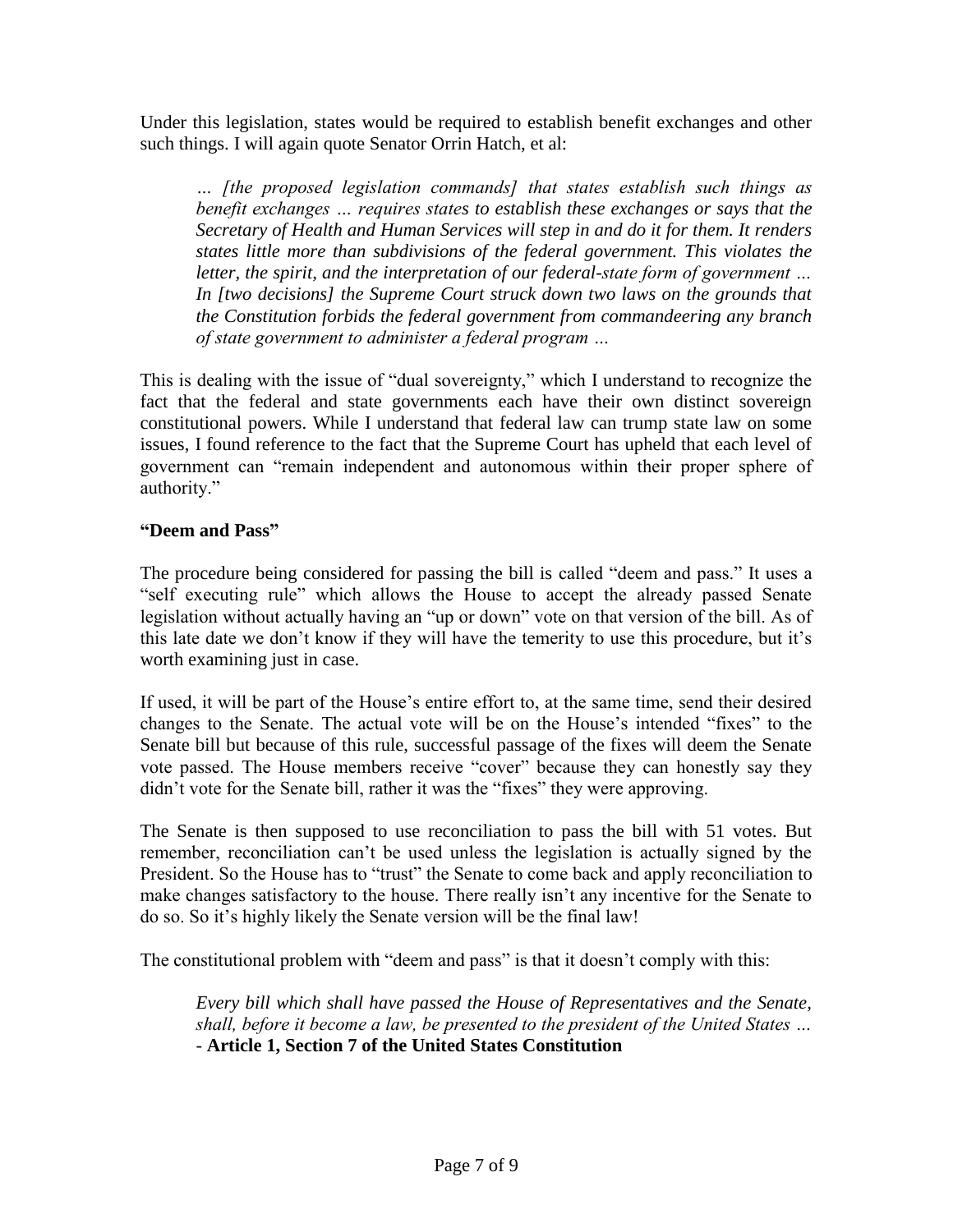Under this legislation, states would be required to establish benefit exchanges and other such things. I will again quote Senator Orrin Hatch, et al:

*… [the proposed legislation commands] that states establish such things as benefit exchanges … requires states to establish these exchanges or says that the Secretary of Health and Human Services will step in and do it for them. It renders states little more than subdivisions of the federal government. This violates the letter, the spirit, and the interpretation of our federal-state form of government … In [two decisions] the Supreme Court struck down two laws on the grounds that the Constitution forbids the federal government from commandeering any branch of state government to administer a federal program …*

This is dealing with the issue of "dual sovereignty," which I understand to recognize the fact that the federal and state governments each have their own distinct sovereign constitutional powers. While I understand that federal law can trump state law on some issues, I found reference to the fact that the Supreme Court has upheld that each level of government can "remain independent and autonomous within their proper sphere of authority."

# **"Deem and Pass"**

The procedure being considered for passing the bill is called "deem and pass." It uses a "self executing rule" which allows the House to accept the already passed Senate legislation without actually having an "up or down" vote on that version of the bill. As of this late date we don't know if they will have the temerity to use this procedure, but it's worth examining just in case.

If used, it will be part of the House"s entire effort to, at the same time, send their desired changes to the Senate. The actual vote will be on the House"s intended "fixes" to the Senate bill but because of this rule, successful passage of the fixes will deem the Senate vote passed. The House members receive "cover" because they can honestly say they didn"t vote for the Senate bill, rather it was the "fixes" they were approving.

The Senate is then supposed to use reconciliation to pass the bill with 51 votes. But remember, reconciliation can"t be used unless the legislation is actually signed by the President. So the House has to "trust" the Senate to come back and apply reconciliation to make changes satisfactory to the house. There really isn't any incentive for the Senate to do so. So it"s highly likely the Senate version will be the final law!

The constitutional problem with "deem and pass" is that it doesn't comply with this:

*Every bill which shall have passed the House of Representatives and the Senate, shall, before it become a law, be presented to the president of the United States … -* **Article 1, Section 7 of the United States Constitution**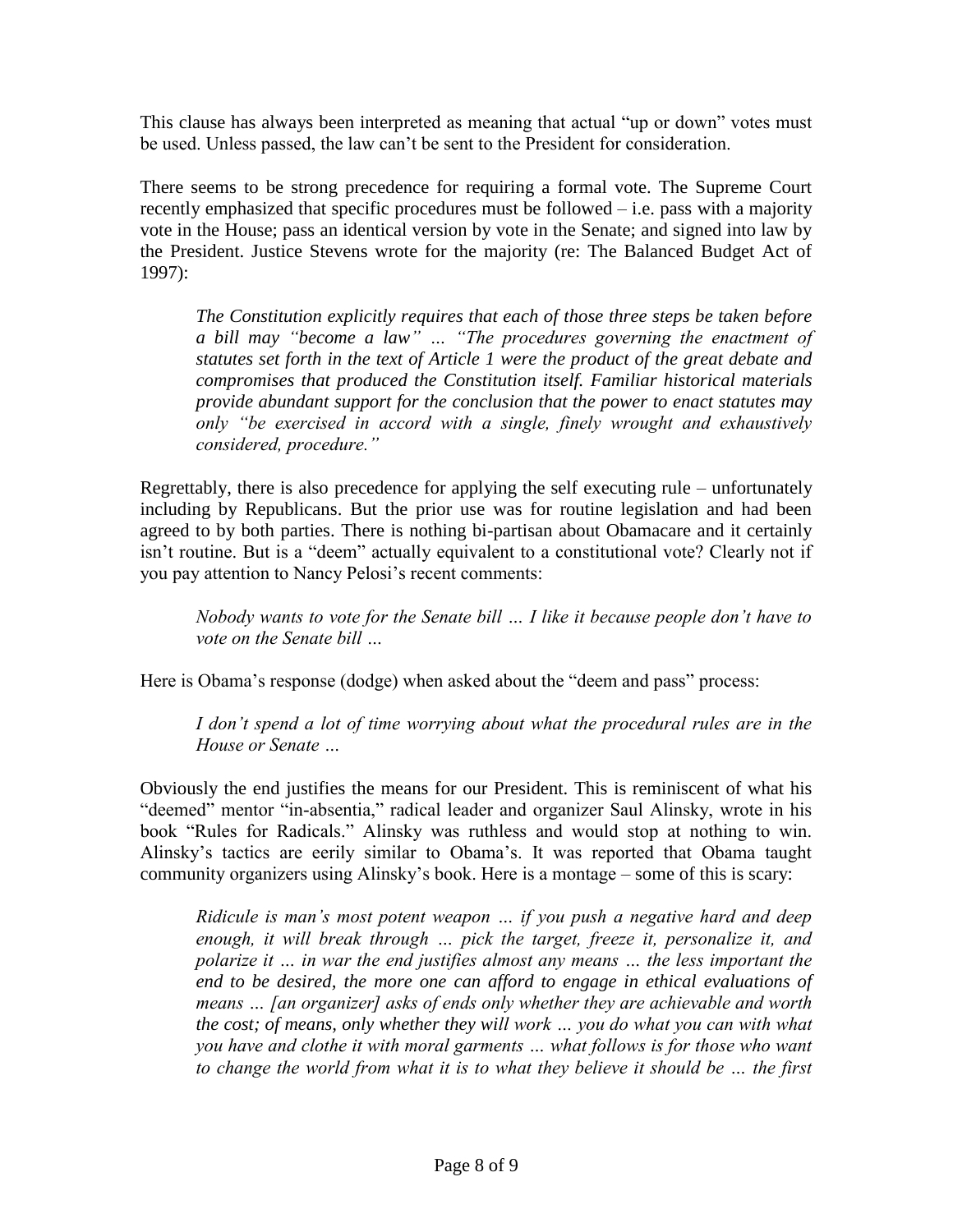This clause has always been interpreted as meaning that actual "up or down" votes must be used. Unless passed, the law can"t be sent to the President for consideration.

There seems to be strong precedence for requiring a formal vote. The Supreme Court recently emphasized that specific procedures must be followed – i.e. pass with a majority vote in the House; pass an identical version by vote in the Senate; and signed into law by the President. Justice Stevens wrote for the majority (re: The Balanced Budget Act of 1997):

*The Constitution explicitly requires that each of those three steps be taken before a bill may "become a law" … "The procedures governing the enactment of statutes set forth in the text of Article 1 were the product of the great debate and compromises that produced the Constitution itself. Familiar historical materials provide abundant support for the conclusion that the power to enact statutes may only "be exercised in accord with a single, finely wrought and exhaustively considered, procedure."*

Regrettably, there is also precedence for applying the self executing rule – unfortunately including by Republicans. But the prior use was for routine legislation and had been agreed to by both parties. There is nothing bi-partisan about Obamacare and it certainly isn"t routine. But is a "deem" actually equivalent to a constitutional vote? Clearly not if you pay attention to Nancy Pelosi"s recent comments:

*Nobody wants to vote for the Senate bill … I like it because people don't have to vote on the Senate bill …*

Here is Obama's response (dodge) when asked about the "deem and pass" process:

*I don't spend a lot of time worrying about what the procedural rules are in the House or Senate …*

Obviously the end justifies the means for our President. This is reminiscent of what his "deemed" mentor "in-absentia," radical leader and organizer Saul Alinsky, wrote in his book "Rules for Radicals." Alinsky was ruthless and would stop at nothing to win. Alinsky"s tactics are eerily similar to Obama"s. It was reported that Obama taught community organizers using Alinsky"s book. Here is a montage – some of this is scary:

*Ridicule is man's most potent weapon … if you push a negative hard and deep enough, it will break through … pick the target, freeze it, personalize it, and polarize it … in war the end justifies almost any means … the less important the end to be desired, the more one can afford to engage in ethical evaluations of means … [an organizer] asks of ends only whether they are achievable and worth the cost; of means, only whether they will work … you do what you can with what you have and clothe it with moral garments … what follows is for those who want to change the world from what it is to what they believe it should be … the first*